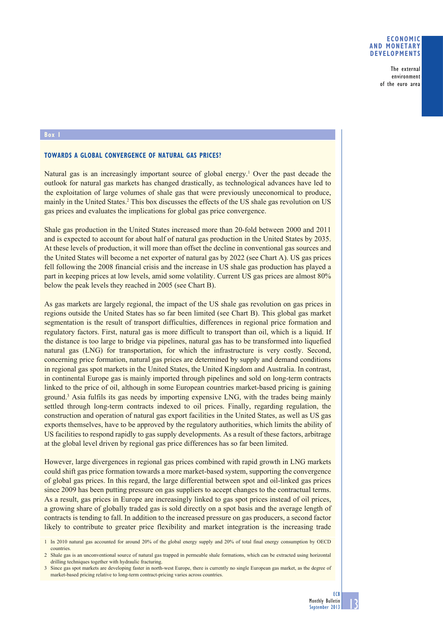## **ECONOMIC AND MONETARY DEVELOPMENTS**

The external environment of the euro area

### **Box 1**

### **TOWARDS A GLOBAL CONVERGENCE OF NATURAL GAS PRICES?**

Natural gas is an increasingly important source of global energy.<sup>1</sup> Over the past decade the outlook for natural gas markets has changed drastically, as technological advances have led to the exploitation of large volumes of shale gas that were previously uneconomical to produce, mainly in the United States.<sup>2</sup> This box discusses the effects of the US shale gas revolution on US gas prices and evaluates the implications for global gas price convergence.

Shale gas production in the United States increased more than 20-fold between 2000 and 2011 and is expected to account for about half of natural gas production in the United States by 2035. At these levels of production, it will more than offset the decline in conventional gas sources and the United States will become a net exporter of natural gas by 2022 (see Chart A). US gas prices fell following the 2008 financial crisis and the increase in US shale gas production has played a part in keeping prices at low levels, amid some volatility. Current US gas prices are almost 80% below the peak levels they reached in 2005 (see Chart B).

As gas markets are largely regional, the impact of the US shale gas revolution on gas prices in regions outside the United States has so far been limited (see Chart B). This global gas market segmentation is the result of transport difficulties, differences in regional price formation and regulatory factors. First, natural gas is more difficult to transport than oil, which is a liquid. If the distance is too large to bridge via pipelines, natural gas has to be transformed into liquefied natural gas (LNG) for transportation, for which the infrastructure is very costly. Second, concerning price formation, natural gas prices are determined by supply and demand conditions in regional gas spot markets in the United States, the United Kingdom and Australia. In contrast, in continental Europe gas is mainly imported through pipelines and sold on long-term contracts linked to the price of oil, although in some European countries market-based pricing is gaining ground.<sup>3</sup> Asia fulfils its gas needs by importing expensive LNG, with the trades being mainly settled through long-term contracts indexed to oil prices. Finally, regarding regulation, the construction and operation of natural gas export facilities in the United States, as well as US gas exports themselves, have to be approved by the regulatory authorities, which limits the ability of US facilities to respond rapidly to gas supply developments. As a result of these factors, arbitrage at the global level driven by regional gas price differences has so far been limited.

However, large divergences in regional gas prices combined with rapid growth in LNG markets could shift gas price formation towards a more market-based system, supporting the convergence of global gas prices. In this regard, the large differential between spot and oil-linked gas prices since 2009 has been putting pressure on gas suppliers to accept changes to the contractual terms. As a result, gas prices in Europe are increasingly linked to gas spot prices instead of oil prices, a growing share of globally traded gas is sold directly on a spot basis and the average length of contracts is tending to fall. In addition to the increased pressure on gas producers, a second factor likely to contribute to greater price flexibility and market integration is the increasing trade

<sup>1</sup> In 2010 natural gas accounted for around 20% of the global energy supply and 20% of total final energy consumption by OECD countries.

<sup>2</sup> Shale gas is an unconventional source of natural gas trapped in permeable shale formations, which can be extracted using horizontal drilling techniques together with hydraulic fracturing.

<sup>3</sup> Since gas spot markets are developing faster in north-west Europe, there is currently no single European gas market, as the degree of market-based pricing relative to long-term contract-pricing varies across countries.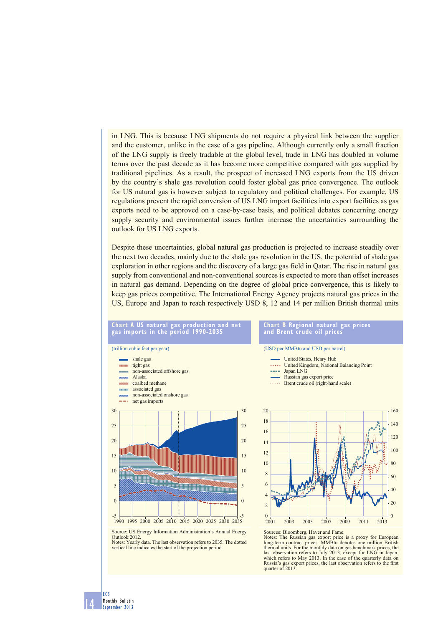in LNG. This is because LNG shipments do not require a physical link between the supplier and the customer, unlike in the case of a gas pipeline. Although currently only a small fraction of the LNG supply is freely tradable at the global level, trade in LNG has doubled in volume terms over the past decade as it has become more competitive compared with gas supplied by traditional pipelines. As a result, the prospect of increased LNG exports from the US driven by the country's shale gas revolution could foster global gas price convergence. The outlook for US natural gas is however subject to regulatory and political challenges. For example, US regulations prevent the rapid conversion of US LNG import facilities into export facilities as gas exports need to be approved on a case-by-case basis, and political debates concerning energy supply security and environmental issues further increase the uncertainties surrounding the outlook for US LNG exports.

Despite these uncertainties, global natural gas production is projected to increase steadily over the next two decades, mainly due to the shale gas revolution in the US, the potential of shale gas exploration in other regions and the discovery of a large gas field in Qatar. The rise in natural gas supply from conventional and non-conventional sources is expected to more than offset increases in natural gas demand. Depending on the degree of global price convergence, this is likely to keep gas prices competitive. The International Energy Agency projects natural gas prices in the US, Europe and Japan to reach respectively USD 8, 12 and 14 per million British thermal units

## **Chart A US natural gas production and net gas imports in the period 1990-2035**





#### **Chart B Regional natural gas prices and Brent crude oil prices**

(USD per MMBtu and USD per barrel)

- United States, Henry Hub **SAARA** United Kingdom, National Balancing Point
- and a
- Japan LNG
- Russian gas export price Brent crude oil (right-hand scale)



Source: US Energy Information Administration's Annual Energy Outlook 2012. Notes: Yearly data. The last observation refers to 2035. The dotted vertical line indicates the start of the projection period.

Sources: Bloomberg, Haver and Fame. Notes: The Russian gas export price is a proxy for European long-term contract prices. MMBtu denotes one million British thermal units. For the monthly data on gas benchmark prices, the last observation refers to July 2013, except for LNG in Japan, which refers to May 2013. In the case of the quarterly data on Russia's gas export prices, the last observation refers to the first quarter of 2013.